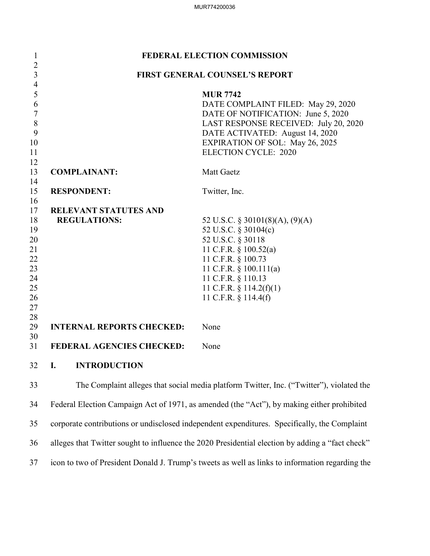| $\mathbf{1}$                 | FEDERAL ELECTION COMMISSION      |                                                                                              |
|------------------------------|----------------------------------|----------------------------------------------------------------------------------------------|
| $\sqrt{2}$<br>$\overline{3}$ |                                  | <b>FIRST GENERAL COUNSEL'S REPORT</b>                                                        |
| $\overline{4}$               |                                  |                                                                                              |
| 5                            |                                  | <b>MUR 7742</b>                                                                              |
| 6                            |                                  | DATE COMPLAINT FILED: May 29, 2020                                                           |
| $\sqrt{ }$                   |                                  | DATE OF NOTIFICATION: June 5, 2020                                                           |
| $\,$ $\,$                    |                                  | LAST RESPONSE RECEIVED: July 20, 2020                                                        |
| 9                            |                                  | DATE ACTIVATED: August 14, 2020                                                              |
| 10                           |                                  | <b>EXPIRATION OF SOL: May 26, 2025</b>                                                       |
| 11                           |                                  | <b>ELECTION CYCLE: 2020</b>                                                                  |
| 12                           |                                  |                                                                                              |
| 13<br>14                     | <b>COMPLAINANT:</b>              | <b>Matt Gaetz</b>                                                                            |
| 15                           | <b>RESPONDENT:</b>               | Twitter, Inc.                                                                                |
| 16                           |                                  |                                                                                              |
| 17                           | <b>RELEVANT STATUTES AND</b>     |                                                                                              |
| 18                           | <b>REGULATIONS:</b>              | 52 U.S.C. $\S$ 30101(8)(A), (9)(A)                                                           |
| 19                           |                                  | 52 U.S.C. § 30104(c)                                                                         |
| 20                           |                                  | 52 U.S.C. § 30118                                                                            |
| 21                           |                                  | 11 C.F.R. § 100.52(a)                                                                        |
| 22                           |                                  | 11 C.F.R. § 100.73                                                                           |
| 23                           |                                  | 11 C.F.R. $\S$ 100.111(a)                                                                    |
| 24                           |                                  | 11 C.F.R. § 110.13                                                                           |
| 25                           |                                  | 11 C.F.R. § 114.2(f)(1)                                                                      |
| 26                           |                                  | 11 C.F.R. § 114.4(f)                                                                         |
| 27                           |                                  |                                                                                              |
| 28                           |                                  |                                                                                              |
| 29                           | <b>INTERNAL REPORTS CHECKED:</b> | None                                                                                         |
| 30                           |                                  |                                                                                              |
| 31                           | <b>FEDERAL AGENCIES CHECKED:</b> | None                                                                                         |
| 32                           | <b>INTRODUCTION</b><br>Ι.        |                                                                                              |
| 33                           |                                  | The Complaint alleges that social media platform Twitter, Inc. ("Twitter"), violated the     |
| 34                           |                                  | Federal Election Campaign Act of 1971, as amended (the "Act"), by making either prohibited   |
| 35                           |                                  | corporate contributions or undisclosed independent expenditures. Specifically, the Complaint |

36 alleges that Twitter sought to influence the 2020 Presidential election by adding a "fact check"

37 icon to two of President Donald J. Trump's tweets as well as links to information regarding the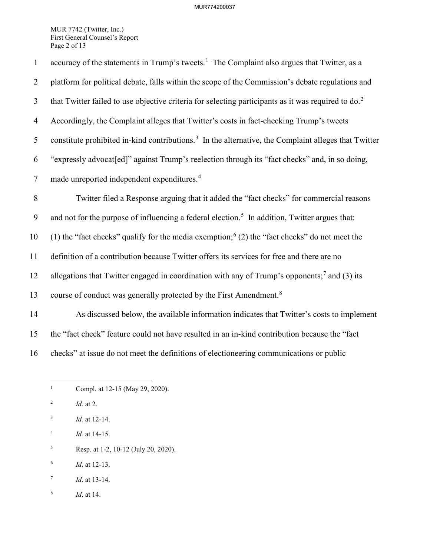MUR 7742 (Twitter, Inc.) First General Counsel's Report Page 2 of 13

| $\mathbf{1}$   | accuracy of the statements in Trump's tweets. <sup>1</sup> The Complaint also argues that Twitter, as a          |
|----------------|------------------------------------------------------------------------------------------------------------------|
| $\overline{2}$ | platform for political debate, falls within the scope of the Commission's debate regulations and                 |
| $\mathfrak{Z}$ | that Twitter failed to use objective criteria for selecting participants as it was required to do. <sup>2</sup>  |
| $\overline{4}$ | Accordingly, the Complaint alleges that Twitter's costs in fact-checking Trump's tweets                          |
| 5              | constitute prohibited in-kind contributions. <sup>3</sup> In the alternative, the Complaint alleges that Twitter |
| 6              | "expressly advocat[ed]" against Trump's reelection through its "fact checks" and, in so doing,                   |
| $\tau$         | made unreported independent expenditures. <sup>4</sup>                                                           |
| 8              | Twitter filed a Response arguing that it added the "fact checks" for commercial reasons                          |
| 9              | and not for the purpose of influencing a federal election. <sup>5</sup> In addition, Twitter argues that:        |
| 10             | (1) the "fact checks" qualify for the media exemption; $(2)$ the "fact checks" do not meet the                   |
| 11             | definition of a contribution because Twitter offers its services for free and there are no                       |
| 12             | allegations that Twitter engaged in coordination with any of Trump's opponents; <sup>7</sup> and (3) its         |
| 13             | course of conduct was generally protected by the First Amendment. <sup>8</sup>                                   |
| 14             | As discussed below, the available information indicates that Twitter's costs to implement                        |
| 15             | the "fact check" feature could not have resulted in an in-kind contribution because the "fact                    |
|                |                                                                                                                  |

<span id="page-1-0"></span>16 checks" at issue do not meet the definitions of electioneering communications or public

- $\frac{1}{1}$ Compl. at 12-15 (May 29, 2020).
- <span id="page-1-1"></span>2 *Id*. at 2.
- <span id="page-1-2"></span>3 *Id.* at 12-14.
- <span id="page-1-3"></span>4 *Id.* at 14-15.
- <span id="page-1-4"></span>5 Resp. at 1-2, 10-12 (July 20, 2020).
- <span id="page-1-5"></span>6 *Id*. at 12-13.
- <span id="page-1-6"></span>7 *Id*. at 13-14.
- <span id="page-1-7"></span>8 *Id*. at 14.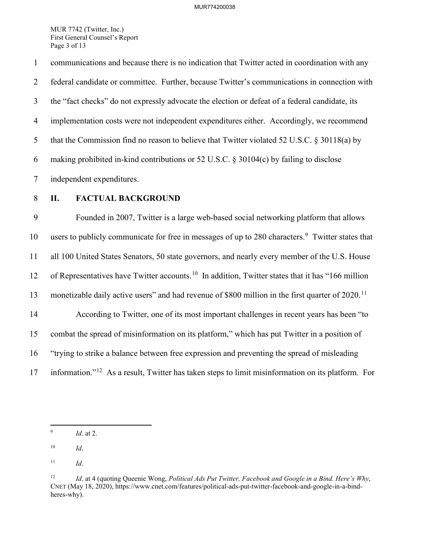MUR 7742 (Twitter, Inc.) First General Counsel's Report Page 3 of 13

1 communications and because there is no indication that Twitter acted in coordination with any 2 federal candidate or committee. Further, because Twitter's communications in connection with 3 the "fact checks" do not expressly advocate the election or defeat of a federal candidate, its 4 implementation costs were not independent expenditures either. Accordingly, we recommend 5 that the Commission find no reason to believe that Twitter violated 52 U.S.C. § 30118(a) by 6 making prohibited in-kind contributions or 52 U.S.C. § 30104(c) by failing to disclose 7 independent expenditures.

# 8 **II. FACTUAL BACKGROUND**

9 Founded in 2007, Twitter is a large web-based social networking platform that allows 10 users to publicly communicate for free in messages of up to 280 characters.<sup>[9](#page-2-0)</sup> Twitter states that 11 all 100 United States Senators, 50 state governors, and nearly every member of the U.S. House 12 of Representatives have Twitter accounts.<sup>10</sup> In addition, Twitter states that it has "166 million" 13 monetizable daily active users" and had revenue of \$800 million in the first quarter of  $2020$ .<sup>[11](#page-2-2)</sup> 14 According to Twitter, one of its most important challenges in recent years has been "to 15 combat the spread of misinformation on its platform," which has put Twitter in a position of 16 "trying to strike a balance between free expression and preventing the spread of misleading

17 information."<sup>[12](#page-2-3)</sup> As a result, Twitter has taken steps to limit misinformation on its platform. For

<span id="page-2-0"></span><sup>-&</sup>lt;br>9 *Id*. at 2.

<span id="page-2-1"></span><sup>10</sup> *Id*.

<span id="page-2-2"></span><sup>11</sup> *Id*.

<span id="page-2-3"></span><sup>12</sup> *Id*. at 4 (quoting Queenie Wong, *Political Ads Put Twitter, Facebook and Google in a Bind. Here's Why*, CNET (May 18, 2020), https://www.cnet.com/features/political-ads-put-twitter-facebook-and-google-in-a-bindheres-why).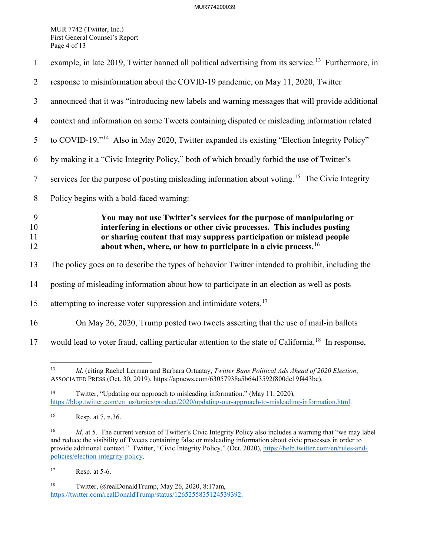MUR 7742 (Twitter, Inc.) First General Counsel's Report Page 4 of 13

| $\mathbf{1}$        | example, in late 2019, Twitter banned all political advertising from its service. <sup>13</sup> Furthermore, in                                                                                                                                                                                         |
|---------------------|---------------------------------------------------------------------------------------------------------------------------------------------------------------------------------------------------------------------------------------------------------------------------------------------------------|
| $\overline{2}$      | response to misinformation about the COVID-19 pandemic, on May 11, 2020, Twitter                                                                                                                                                                                                                        |
| $\overline{3}$      | announced that it was "introducing new labels and warning messages that will provide additional                                                                                                                                                                                                         |
| $\overline{4}$      | context and information on some Tweets containing disputed or misleading information related                                                                                                                                                                                                            |
| 5                   | to COVID-19." <sup>14</sup> Also in May 2020, Twitter expanded its existing "Election Integrity Policy"                                                                                                                                                                                                 |
| 6                   | by making it a "Civic Integrity Policy," both of which broadly forbid the use of Twitter's                                                                                                                                                                                                              |
| $\tau$              | services for the purpose of posting misleading information about voting. <sup>15</sup> The Civic Integrity                                                                                                                                                                                              |
| 8                   | Policy begins with a bold-faced warning:                                                                                                                                                                                                                                                                |
|                     |                                                                                                                                                                                                                                                                                                         |
| 9<br>10<br>11<br>12 | You may not use Twitter's services for the purpose of manipulating or<br>interfering in elections or other civic processes. This includes posting<br>or sharing content that may suppress participation or mislead people<br>about when, where, or how to participate in a civic process. <sup>16</sup> |
| 13                  | The policy goes on to describe the types of behavior Twitter intended to prohibit, including the                                                                                                                                                                                                        |
| 14                  | posting of misleading information about how to participate in an election as well as posts                                                                                                                                                                                                              |
| 15                  | attempting to increase voter suppression and intimidate voters. <sup>17</sup>                                                                                                                                                                                                                           |
| 16                  | On May 26, 2020, Trump posted two tweets asserting that the use of mail-in ballots                                                                                                                                                                                                                      |

<span id="page-3-4"></span> $17$  Resp. at 5-6.

<span id="page-3-0"></span> $\overline{a}$ 13 *Id*. (citing Rachel Lerman and Barbara Ortuatay, *Twitter Bans Political Ads Ahead of 2020 Election*, ASSOCIATED PRESS (Oct. 30, 2019), https://apnews.com/63057938a5b64d3592f800de19f443bc).

<span id="page-3-1"></span><sup>&</sup>lt;sup>14</sup> Twitter, "Updating our approach to misleading information." (May 11, 2020), [https://blog.twitter.com/en\\_us/topics/product/2020/updating-our-approach-to-misleading-information.html.](https://blog.twitter.com/en_us/topics/product/2020/updating-our-approach-to-misleading-information.html)

<span id="page-3-2"></span><sup>15</sup> Resp. at 7, n.36.

<span id="page-3-3"></span><sup>&</sup>lt;sup>16</sup> *Id.* at 5. The current version of Twitter's Civic Integrity Policy also includes a warning that "we may label and reduce the visibility of Tweets containing false or misleading information about civic processes in order to provide additional context." Twitter, "Civic Integrity Policy." (Oct. 2020), [https://help.twitter.com/en/rules-and](https://help.twitter.com/en/rules-and-policies/election-integrity-policy)[policies/election-integrity-policy.](https://help.twitter.com/en/rules-and-policies/election-integrity-policy)

<span id="page-3-5"></span><sup>18</sup> Twitter, @realDonaldTrump, May 26, 2020, 8:17am, [https://twitter.com/realDonaldTrump/status/1265255835124539392.](https://twitter.com/realDonaldTrump/status/1265255835124539392)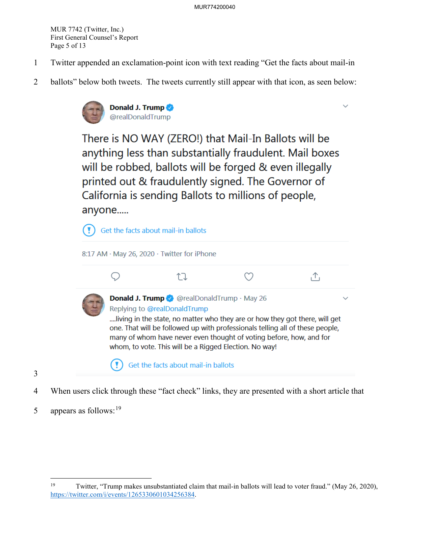MUR 7742 (Twitter, Inc.) First General Counsel's Report Page 5 of 13

- 1 Twitter appended an exclamation-point icon with text reading "Get the facts about mail-in
- 2 ballots" below both tweets. The tweets currently still appear with that icon, as seen below:



There is NO WAY (ZERO!) that Mail-In Ballots will be anything less than substantially fraudulent. Mail boxes will be robbed, ballots will be forged & even illegally printed out & fraudulently signed. The Governor of California is sending Ballots to millions of people, anyone.....



- 4 When users click through these "fact check" links, they are presented with a short article that
- 5 appears as follows:  $19$

3

<span id="page-4-0"></span> $\overline{a}$ 19 Twitter, "Trump makes unsubstantiated claim that mail-in ballots will lead to voter fraud." (May 26, 2020), [https://twitter.com/i/events/1265330601034256384.](https://twitter.com/i/events/1265330601034256384)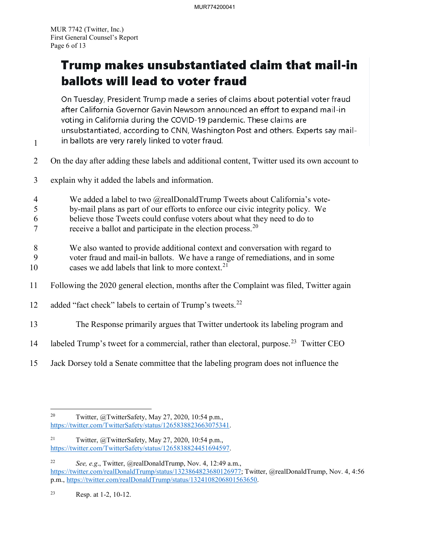1

# Trump makes unsubstantiated claim that mail-in ballots will lead to voter fraud

On Tuesday, President Trump made a series of claims about potential voter fraud after California Governor Gavin Newsom announced an effort to expand mail-in voting in California during the COVID-19 pandemic. These claims are unsubstantiated, according to CNN, Washington Post and others. Experts say mailin ballots are very rarely linked to voter fraud.

- 2 On the day after adding these labels and additional content, Twitter used its own account to
- 3 explain why it added the labels and information.
- 4 We added a label to two @realDonaldTrump Tweets about California's vote-
- 5 by-mail plans as part of our efforts to enforce our civic integrity policy. We
- 6 believe those Tweets could confuse voters about what they need to do to
- $7$  receive a ballot and participate in the election process.<sup>[20](#page-5-0)</sup>
- 8 We also wanted to provide additional context and conversation with regard to
- 9 voter fraud and mail-in ballots. We have a range of remediations, and in some 10 cases we add labels that link to more context.  $21$
- 11 Following the 2020 general election, months after the Complaint was filed, Twitter again
- 12 added "fact check" labels to certain of Trump's tweets. $^{22}$  $^{22}$  $^{22}$
- 13 The Response primarily argues that Twitter undertook its labeling program and
- 14 labeled Trump's tweet for a commercial, rather than electoral, purpose.<sup>[23](#page-5-3)</sup> Twitter CEO
- 15 Jack Dorsey told a Senate committee that the labeling program does not influence the

<span id="page-5-0"></span> $\overline{a}$ <sup>20</sup> Twitter,  $\omega$ TwitterSafety, May 27, 2020, 10:54 p.m., [https://twitter.com/TwitterSafety/status/1265838823663075341.](https://twitter.com/TwitterSafety/status/1265838823663075341)

<span id="page-5-1"></span><sup>&</sup>lt;sup>21</sup> Twitter,  $@T$ witterSafety, May 27, 2020, 10:54 p.m., [https://twitter.com/TwitterSafety/status/1265838824451694597.](https://twitter.com/TwitterSafety/status/1265838824451694597)

<span id="page-5-2"></span><sup>22</sup> *See, e.g*., Twitter, @realDonaldTrump, Nov. 4, 12:49 a.m., [https://twitter.com/realDonaldTrump/status/1323864823680126977;](https://twitter.com/realDonaldTrump/status/1323864823680126977) Twitter, @realDonaldTrump, Nov. 4, 4:56 p.m., [https://twitter.com/realDonaldTrump/status/1324108206801563650.](https://twitter.com/realDonaldTrump/status/1324108206801563650)

<span id="page-5-3"></span><sup>23</sup> Resp. at 1-2, 10-12.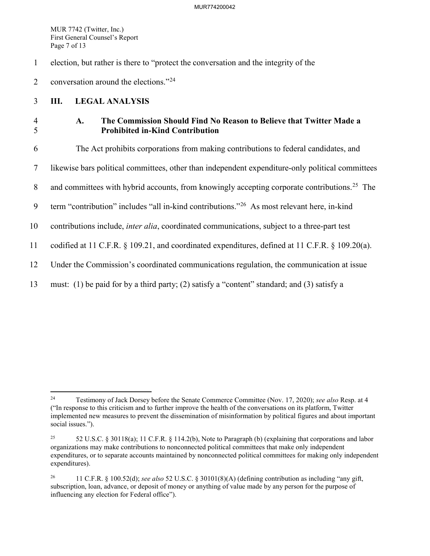MUR 7742 (Twitter, Inc.) First General Counsel's Report Page 7 of 13

1 election, but rather is there to "protect the conversation and the integrity of the

2 conversation around the elections."<sup>[24](#page-6-0)</sup>

# 3 **III. LEGAL ANALYSIS**

# 4 **A. The Commission Should Find No Reason to Believe that Twitter Made a**  5 **Prohibited in-Kind Contribution**

6 The Act prohibits corporations from making contributions to federal candidates, and

7 likewise bars political committees, other than independent expenditure-only political committees

8 and committees with hybrid accounts, from knowingly accepting corporate contributions.<sup>[25](#page-6-1)</sup> The

9  $\text{term}$  "contribution" includes "all in-kind contributions."<sup>[26](#page-6-2)</sup> As most relevant here, in-kind

10 contributions include, *inter alia*, coordinated communications, subject to a three-part test

11 codified at 11 C.F.R. § 109.21, and coordinated expenditures, defined at 11 C.F.R. § 109.20(a).

- 12 Under the Commission's coordinated communications regulation, the communication at issue
- 13 must: (1) be paid for by a third party; (2) satisfy a "content" standard; and (3) satisfy a

<span id="page-6-0"></span> $\overline{a}$ 24 Testimony of Jack Dorsey before the Senate Commerce Committee (Nov. 17, 2020); *see also* Resp. at 4 ("In response to this criticism and to further improve the health of the conversations on its platform, Twitter implemented new measures to prevent the dissemination of misinformation by political figures and about important social issues.").

<span id="page-6-1"></span><sup>25 52</sup> U.S.C. § 30118(a); 11 C.F.R. § 114.2(b), Note to Paragraph (b) (explaining that corporations and labor organizations may make contributions to nonconnected political committees that make only independent expenditures, or to separate accounts maintained by nonconnected political committees for making only independent expenditures).

<span id="page-6-2"></span><sup>26 11</sup> C.F.R. § 100.52(d); *see also* 52 U.S.C. § 30101(8)(A) (defining contribution as including "any gift, subscription, loan, advance, or deposit of money or anything of value made by any person for the purpose of influencing any election for Federal office").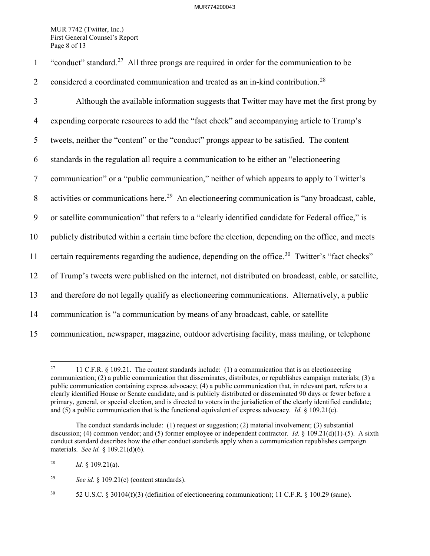MUR 7742 (Twitter, Inc.) First General Counsel's Report Page 8 of 13

| $\mathbf{1}$   | "conduct" standard. <sup>27</sup> All three prongs are required in order for the communication to be        |
|----------------|-------------------------------------------------------------------------------------------------------------|
| $\overline{2}$ | considered a coordinated communication and treated as an in-kind contribution. <sup>28</sup>                |
| 3              | Although the available information suggests that Twitter may have met the first prong by                    |
| $\overline{4}$ | expending corporate resources to add the "fact check" and accompanying article to Trump's                   |
| 5              | tweets, neither the "content" or the "conduct" prongs appear to be satisfied. The content                   |
| 6              | standards in the regulation all require a communication to be either an "electioneering                     |
| $\overline{7}$ | communication" or a "public communication," neither of which appears to apply to Twitter's                  |
| $8\,$          | activities or communications here. <sup>29</sup> An electioneering communication is "any broadcast, cable,  |
| 9              | or satellite communication" that refers to a "clearly identified candidate for Federal office," is          |
| 10             | publicly distributed within a certain time before the election, depending on the office, and meets          |
| 11             | certain requirements regarding the audience, depending on the office. <sup>30</sup> Twitter's "fact checks" |
| 12             | of Trump's tweets were published on the internet, not distributed on broadcast, cable, or satellite,        |
| 13             | and therefore do not legally qualify as electioneering communications. Alternatively, a public              |
| 14             | communication is "a communication by means of any broadcast, cable, or satellite                            |
| 15             | communication, newspaper, magazine, outdoor advertising facility, mass mailing, or telephone                |

<span id="page-7-0"></span><sup>27</sup> 27 11 C.F.R. § 109.21. The content standards include: (1) a communication that is an electioneering communication; (2) a public communication that disseminates, distributes, or republishes campaign materials; (3) a public communication containing express advocacy; (4) a public communication that, in relevant part, refers to a clearly identified House or Senate candidate, and is publicly distributed or disseminated 90 days or fewer before a primary, general, or special election, and is directed to voters in the jurisdiction of the clearly identified candidate; and (5) a public communication that is the functional equivalent of express advocacy. *Id.* § 109.21(c).

The conduct standards include: (1) request or suggestion; (2) material involvement; (3) substantial discussion; (4) common vendor; and (5) former employee or independent contractor. *Id.* § 109.21(d)(1)-(5). A sixth conduct standard describes how the other conduct standards apply when a communication republishes campaign materials. *See id.* § 109.21(d)(6).

<span id="page-7-1"></span><sup>&</sup>lt;sup>28</sup> *Id.* § 109.21(a).

<span id="page-7-2"></span><sup>29</sup> *See id.* § 109.21(c) (content standards).

<span id="page-7-3"></span> $30$  52 U.S.C. § 30104(f)(3) (definition of electioneering communication); 11 C.F.R. § 100.29 (same).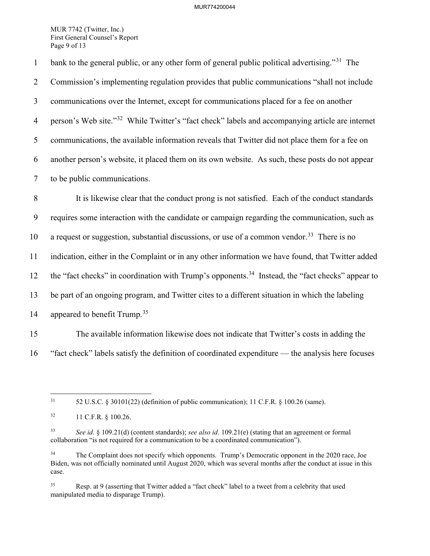MUR 7742 (Twitter, Inc.) First General Counsel's Report Page 9 of 13

1 bank to the general public, or any other form of general public political advertising."<sup>[31](#page-8-0)</sup> The 2 Commission's implementing regulation provides that public communications "shall not include 3 communications over the Internet, except for communications placed for a fee on another 4 person's Web site."<sup>[32](#page-8-1)</sup> While Twitter's "fact check" labels and accompanying article are internet 5 communications, the available information reveals that Twitter did not place them for a fee on 6 another person's website, it placed them on its own website. As such, these posts do not appear 7 to be public communications.

8 It is likewise clear that the conduct prong is not satisfied. Each of the conduct standards 9 requires some interaction with the candidate or campaign regarding the communication, such as 10 a request or suggestion, substantial discussions, or use of a common vendor.<sup>[33](#page-8-2)</sup> There is no 11 indication, either in the Complaint or in any other information we have found, that Twitter added 12 the "fact checks" in coordination with Trump's opponents.<sup>34</sup> Instead, the "fact checks" appear to 13 be part of an ongoing program, and Twitter cites to a different situation in which the labeling 14 appeared to benefit Trump.<sup>[35](#page-8-4)</sup>

15 The available information likewise does not indicate that Twitter's costs in adding the 16 "fact check" labels satisfy the definition of coordinated expenditure — the analysis here focuses

<span id="page-8-0"></span> $\overline{a}$ 

31 52 U.S.C. § 30101(22) (definition of public communication); 11 C.F.R. § 100.26 (same).

<span id="page-8-4"></span>35 Resp. at 9 (asserting that Twitter added a "fact check" label to a tweet from a celebrity that used manipulated media to disparage Trump).

<span id="page-8-1"></span><sup>32 11</sup> C.F.R. § 100.26.

<span id="page-8-2"></span><sup>33</sup> *See id.* § 109.21(d) (content standards); *see also id.* 109.21(e) (stating that an agreement or formal collaboration "is not required for a communication to be a coordinated communication").

<span id="page-8-3"></span><sup>&</sup>lt;sup>34</sup> The Complaint does not specify which opponents. Trump's Democratic opponent in the 2020 race, Joe Biden, was not officially nominated until August 2020, which was several months after the conduct at issue in this case.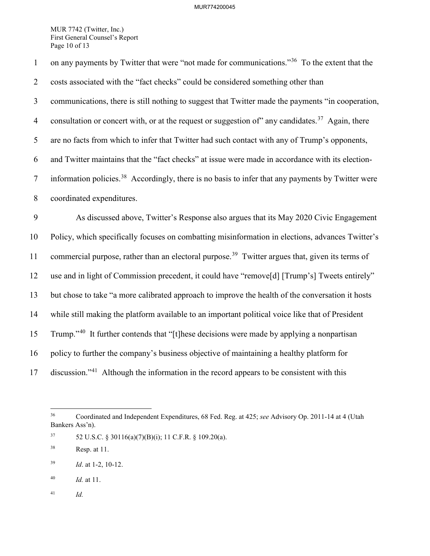MUR 7742 (Twitter, Inc.) First General Counsel's Report Page 10 of 13

1 on any payments by Twitter that were "not made for communications."<sup>[36](#page-9-0)</sup> To the extent that the 2 costs associated with the "fact checks" could be considered something other than 3 communications, there is still nothing to suggest that Twitter made the payments "in cooperation, 4 consultation or concert with, or at the request or suggestion of" any candidates.<sup>37</sup> Again, there 5 are no facts from which to infer that Twitter had such contact with any of Trump's opponents, 6 and Twitter maintains that the "fact checks" at issue were made in accordance with its election- $\frac{7}{7}$  information policies.<sup>38</sup> Accordingly, there is no basis to infer that any payments by Twitter were 8 coordinated expenditures. 9 As discussed above, Twitter's Response also argues that its May 2020 Civic Engagement 10 Policy, which specifically focuses on combatting misinformation in elections, advances Twitter's 11 commercial purpose, rather than an electoral purpose.<sup>[39](#page-9-3)</sup> Twitter argues that, given its terms of 12 use and in light of Commission precedent, it could have "remove[d] [Trump's] Tweets entirely" 13 but chose to take "a more calibrated approach to improve the health of the conversation it hosts 14 while still making the platform available to an important political voice like that of President 15 Trump."<sup>[40](#page-9-4)</sup> It further contends that "[t]hese decisions were made by applying a nonpartisan 16 policy to further the company's business objective of maintaining a healthy platform for 17 discussion."<sup>[41](#page-9-5)</sup> Although the information in the record appears to be consistent with this

 $\overline{a}$ 

<span id="page-9-0"></span><sup>36</sup> Coordinated and Independent Expenditures, 68 Fed. Reg. at 425; *see* Advisory Op. 2011-14 at 4 (Utah Bankers Ass'n).

<span id="page-9-1"></span> $37$  52 U.S.C. § 30116(a)(7)(B)(i); 11 C.F.R. § 109.20(a).

<span id="page-9-2"></span><sup>38</sup> Resp. at 11.

<span id="page-9-3"></span><sup>39</sup> *Id*. at 1-2, 10-12.

<span id="page-9-4"></span><sup>40</sup> *Id.* at 11.

<span id="page-9-5"></span><sup>41</sup> *Id.*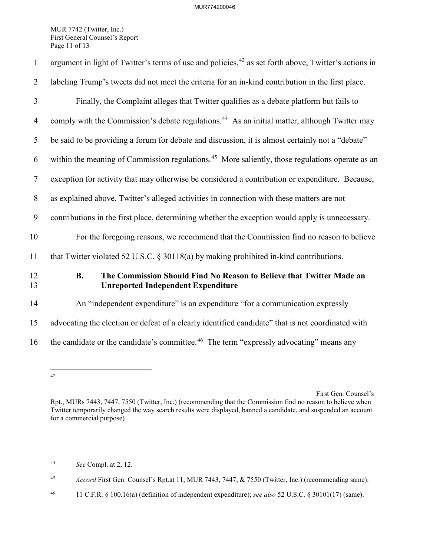MUR 7742 (Twitter, Inc.) First General Counsel's Report Page 11 of 13

| $\mathbf{1}$     | argument in light of Twitter's terms of use and policies, <sup>42</sup> as set forth above, Twitter's actions in               |
|------------------|--------------------------------------------------------------------------------------------------------------------------------|
| $\overline{2}$   | labeling Trump's tweets did not meet the criteria for an in-kind contribution in the first place.                              |
| 3                | Finally, the Complaint alleges that Twitter qualifies as a debate platform but fails to                                        |
| $\overline{4}$   | comply with the Commission's debate regulations. <sup>44</sup> As an initial matter, although Twitter may                      |
| 5                | be said to be providing a forum for debate and discussion, it is almost certainly not a "debate"                               |
| 6                | within the meaning of Commission regulations. <sup>45</sup> More saliently, those regulations operate as an                    |
| $\tau$           | exception for activity that may otherwise be considered a contribution or expenditure. Because,                                |
| 8                | as explained above, Twitter's alleged activities in connection with these matters are not                                      |
| $\boldsymbol{9}$ | contributions in the first place, determining whether the exception would apply is unnecessary.                                |
| 10               | For the foregoing reasons, we recommend that the Commission find no reason to believe                                          |
| 11               | that Twitter violated 52 U.S.C. $\S$ 30118(a) by making prohibited in-kind contributions.                                      |
| 12<br>13         | <b>B.</b><br>The Commission Should Find No Reason to Believe that Twitter Made an<br><b>Unreported Independent Expenditure</b> |
| 14               | An "independent expenditure" is an expenditure "for a communication expressly                                                  |
| 15               | advocating the election or defeat of a clearly identified candidate" that is not coordinated with                              |
| 16               | the candidate or the candidate's committee. <sup>46</sup> The term "expressly advocating" means any                            |

<span id="page-10-0"></span> $\overline{a}$ 42

<span id="page-10-1"></span>44 *See* Compl. at 2, 12.

First Gen. Counsel's

Rpt., MURs 7443, 7447, 7550 (Twitter, Inc.) (recommending that the Commission find no reason to believe when Twitter temporarily changed the way search results were displayed, banned a candidate, and suspended an account for a commercial purpose)

<span id="page-10-2"></span><sup>45</sup> *Accord* First Gen. Counsel's Rpt.at 11, MUR 7443, 7447, & 7550 (Twitter, Inc.) (recommending same).

<span id="page-10-3"></span><sup>46 11</sup> C.F.R. § 100.16(a) (definition of independent expenditure); *see also* 52 U.S.C. § 30101(17) (same).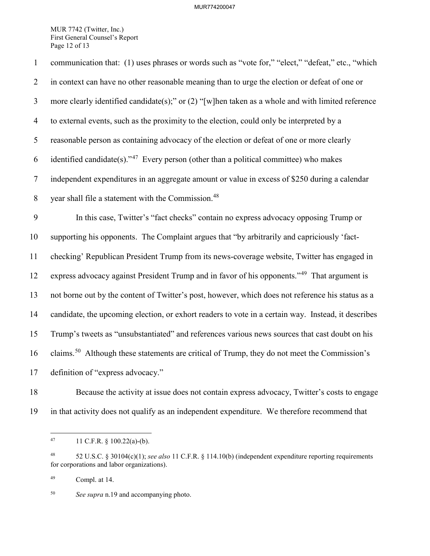MUR 7742 (Twitter, Inc.) First General Counsel's Report Page 12 of 13

1 communication that: (1) uses phrases or words such as "vote for," "elect," "defeat," etc., "which 2 in context can have no other reasonable meaning than to urge the election or defeat of one or 3 more clearly identified candidate(s);" or (2) "[w]hen taken as a whole and with limited reference 4 to external events, such as the proximity to the election, could only be interpreted by a 5 reasonable person as containing advocacy of the election or defeat of one or more clearly 6 identified candidate(s)."<sup>[47](#page-11-0)</sup> Every person (other than a political committee) who makes 7 independent expenditures in an aggregate amount or value in excess of \$250 during a calendar 8 vear shall file a statement with the Commission.<sup>[48](#page-11-1)</sup> 9 In this case, Twitter's "fact checks" contain no express advocacy opposing Trump or 10 supporting his opponents. The Complaint argues that "by arbitrarily and capriciously 'fact-11 checking' Republican President Trump from its news-coverage website, Twitter has engaged in 12 express advocacy against President Trump and in favor of his opponents."<sup>[49](#page-11-2)</sup> That argument is 13 not borne out by the content of Twitter's post, however, which does not reference his status as a 14 candidate, the upcoming election, or exhort readers to vote in a certain way. Instead, it describes 15 Trump's tweets as "unsubstantiated" and references various news sources that cast doubt on his 16 claims.<sup>[50](#page-11-3)</sup> Although these statements are critical of Trump, they do not meet the Commission's 17 definition of "express advocacy."

18 Because the activity at issue does not contain express advocacy, Twitter's costs to engage 19 in that activity does not qualify as an independent expenditure. We therefore recommend that

<span id="page-11-3"></span>50 *See supra* n.19 and accompanying photo.

<sup>47</sup> 11 C.F.R.  $\S$  100.22(a)-(b).

<span id="page-11-1"></span><span id="page-11-0"></span><sup>48 52</sup> U.S.C. § 30104(c)(1); *see also* 11 C.F.R. § 114.10(b) (independent expenditure reporting requirements for corporations and labor organizations).

<span id="page-11-2"></span><sup>49</sup> Compl. at 14.